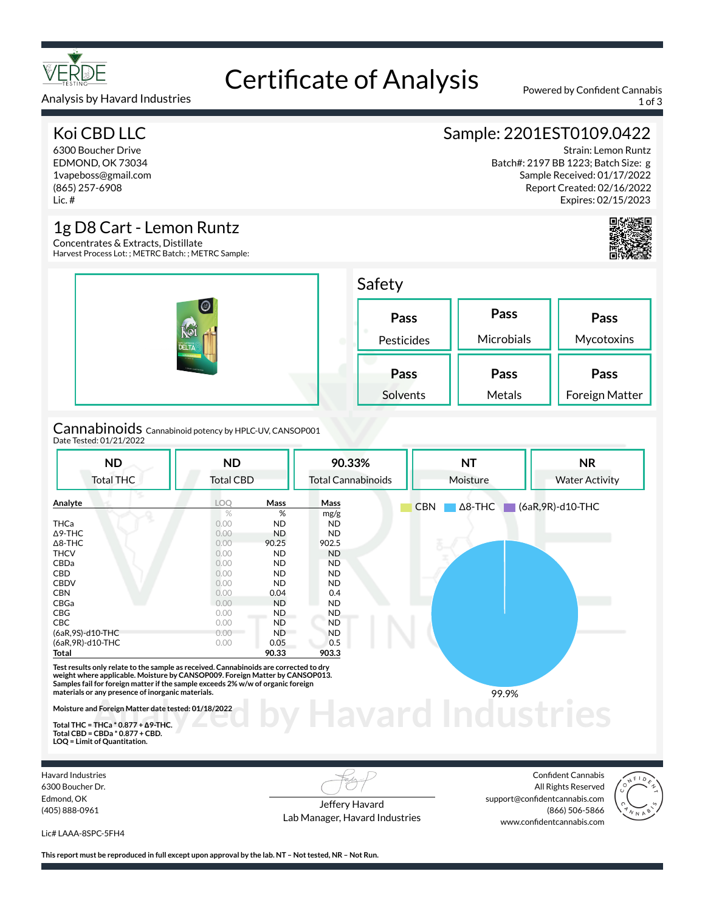

# Certificate of Analysis Powered by Confident Cannabis

Analysis by Havard Industries 1 of 3

### Koi CBD LLC

6300 Boucher Drive EDMOND, OK 73034 1vapeboss@gmail.com (865) 257-6908 Lic. #

### 1g D8 Cart - Lemon Runtz

Concentrates & Extracts, Distillate Harvest Process Lot: ; METRC Batch: ; METRC Sample:

| $  \mathcal{O}  $<br>AIOI<br>DELTA<br>LEMON RENETZ<br><b>STATISTICS</b><br><b>CORAN CARTASSAY</b> | Safety             |                    |                        |  |  |
|---------------------------------------------------------------------------------------------------|--------------------|--------------------|------------------------|--|--|
|                                                                                                   | Pass<br>Pesticides | Pass<br>Microbials | Pass<br>Mycotoxins     |  |  |
|                                                                                                   | Pass<br>Solvents   | Pass<br>Metals     | Pass<br>Foreign Matter |  |  |

Cannabinoids Cannabinoid potency by HPLC-UV, CANSOP001 Date Tested: 01/21/2022

| <b>ND</b>                                                                                                                                                                                                                                                                                                     | <b>ND</b>        |           | 90.33%                    | <b>NT</b>                    | <b>NR</b>             |
|---------------------------------------------------------------------------------------------------------------------------------------------------------------------------------------------------------------------------------------------------------------------------------------------------------------|------------------|-----------|---------------------------|------------------------------|-----------------------|
| <b>Total THC</b>                                                                                                                                                                                                                                                                                              | <b>Total CBD</b> |           | <b>Total Cannabinoids</b> | Moisture                     | <b>Water Activity</b> |
| Analyte                                                                                                                                                                                                                                                                                                       | <b>LOO</b>       | Mass      | Mass                      | <b>CBN</b><br>$\Delta$ 8-THC | $(6aR, 9R)$ -d10-THC  |
|                                                                                                                                                                                                                                                                                                               | $\%$             | %         | mg/g                      |                              |                       |
| <b>THCa</b>                                                                                                                                                                                                                                                                                                   | 0.00             | ND        | <b>ND</b>                 |                              |                       |
| $\Delta$ 9-THC                                                                                                                                                                                                                                                                                                | 0.00             | <b>ND</b> | <b>ND</b>                 |                              |                       |
| $\Delta$ 8-THC                                                                                                                                                                                                                                                                                                | 0.00             | 90.25     | 902.5                     |                              |                       |
| <b>THCV</b>                                                                                                                                                                                                                                                                                                   | 0.00             | <b>ND</b> | <b>ND</b>                 |                              |                       |
| CBDa                                                                                                                                                                                                                                                                                                          | 0.00             | <b>ND</b> | <b>ND</b>                 |                              |                       |
| CBD                                                                                                                                                                                                                                                                                                           | 0.00             | <b>ND</b> | <b>ND</b>                 |                              |                       |
| <b>CBDV</b>                                                                                                                                                                                                                                                                                                   | 0.00             | <b>ND</b> | ND.                       |                              |                       |
| <b>CBN</b>                                                                                                                                                                                                                                                                                                    | 0.00             | 0.04      | 0.4                       |                              |                       |
| CBGa                                                                                                                                                                                                                                                                                                          | 0.00             | <b>ND</b> | <b>ND</b>                 |                              |                       |
| <b>CBG</b>                                                                                                                                                                                                                                                                                                    | 0.00             | ND.       | <b>ND</b>                 |                              |                       |
| <b>CBC</b>                                                                                                                                                                                                                                                                                                    | 0.00             | <b>ND</b> | <b>ND</b>                 |                              |                       |
| (6aR,9S)-d10-THC                                                                                                                                                                                                                                                                                              | 0.00             | <b>ND</b> | <b>ND</b>                 |                              |                       |
| (6aR, 9R)-d10-THC                                                                                                                                                                                                                                                                                             | 0.00             | 0.05      | 0.5                       |                              |                       |
| Total                                                                                                                                                                                                                                                                                                         |                  | 90.33     | 903.3                     |                              |                       |
| Test results only relate to the sample as received. Cannabinoids are corrected to dry<br>weight where applicable. Moisture by CANSOP009. Foreign Matter by CANSOP013.<br>Samples fail for foreign matter if the sample exceeds 2% w/w of organic foreign<br>materials or any presence of inorganic materials. |                  |           |                           | 99.9%                        |                       |
| Moisture and Foreign Matter date tested: 01/18/2022                                                                                                                                                                                                                                                           |                  |           |                           |                              |                       |
| Total THC = THCa $*$ 0.877 + $\triangle$ 9-THC.                                                                                                                                                                                                                                                               |                  |           |                           |                              |                       |

**Total THC = THCa \* 0.877 + ∆9-THC. Total CBD = CBDa \* 0.877 + CBD. LOQ = Limit of Quantitation.**

Havard Industries 6300 Boucher Dr. Edmond, OK (405) 888-0961

Jeffery Havard Lab Manager, Havard Industries

Confident Cannabis All Rights Reserved support@confidentcannabis.com (866) 506-5866 www.confidentcannabis.com



Lic# LAAA-8SPC-5FH4

**This report must be reproduced in full except upon approval by the lab. NT – Not tested, NR – Not Run.**

### Sample: 2201EST0109.0422

Strain: Lemon Runtz Batch#: 2197 BB 1223; Batch Size: g Sample Received: 01/17/2022 Report Created: 02/16/2022 Expires: 02/15/2023